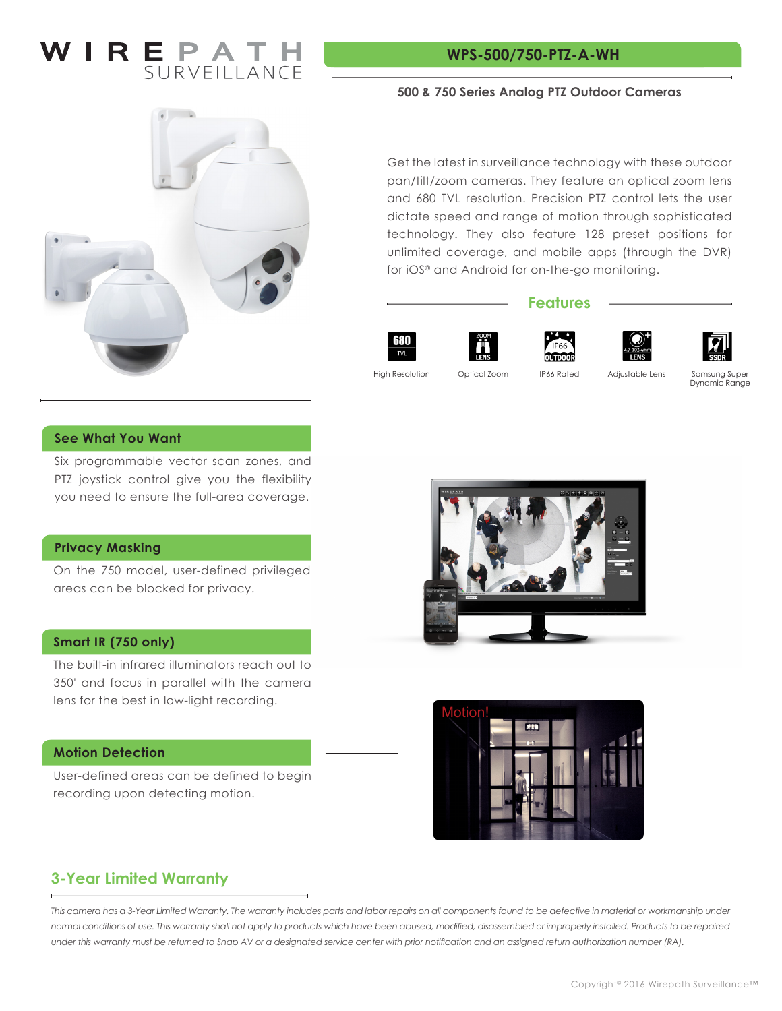### $\overline{\phantom{a}}$   $\overline{\phantom{a}}$   $\overline{\phantom{a}}$   $\overline{\phantom{a}}$   $\overline{\phantom{a}}$   $\overline{\phantom{a}}$   $\overline{\phantom{a}}$   $\overline{\phantom{a}}$   $\overline{\phantom{a}}$   $\overline{\phantom{a}}$   $\overline{\phantom{a}}$   $\overline{\phantom{a}}$   $\overline{\phantom{a}}$   $\overline{\phantom{a}}$   $\overline{\phantom{a}}$   $\overline{\phantom{a}}$   $\overline{\phantom{a}}$   $\overline{\phantom{a}}$   $\overline{\$ SURVEILLANCE

#### **WPS-500/750-PTZ-A-WH**



#### **500 & 750 Series Analog PTZ Outdoor Cameras**

Get the latest in surveillance technology with these outdoor pan/tilt/zoom cameras. They feature an optical zoom lens and 680 TVL resolution. Precision PTZ control lets the user dictate speed and range of motion through sophisticated technology. They also feature 128 preset positions for unlimited coverage, and mobile apps (through the DVR) for iOS® and Android for on-the-go monitoring.

#### **Features**





High Resolution

IP66 Rated

Optical Zoom and IP66 Rated Adjustable Lens Samsung Super Dynamic Range

#### **See What You Want**

Six programmable vector scan zones, and PTZ joystick control give you the flexibility you need to ensure the full-area coverage.

#### **Privacy Masking**

On the 750 model, user-defined privileged areas can be blocked for privacy.

#### **Smart IR (750 only)**

The built-in infrared illuminators reach out to 350' and focus in parallel with the camera lens for the best in low-light recording.

#### **Motion Detection**

User-defined areas can be defined to begin recording upon detecting motion.





#### **3-Year Limited Warranty**

This camera has a 3-Year Limited Warranty. The warranty includes parts and labor repairs on all components found to be defective in material or workmanship under *normal conditions of use. This warranty shall not apply to products which have been abused, modified, disassembled or improperly installed. Products to be repaired under this warranty must be returned to Snap AV or a designated service center with prior notification and an assigned return authorization number (RA).*